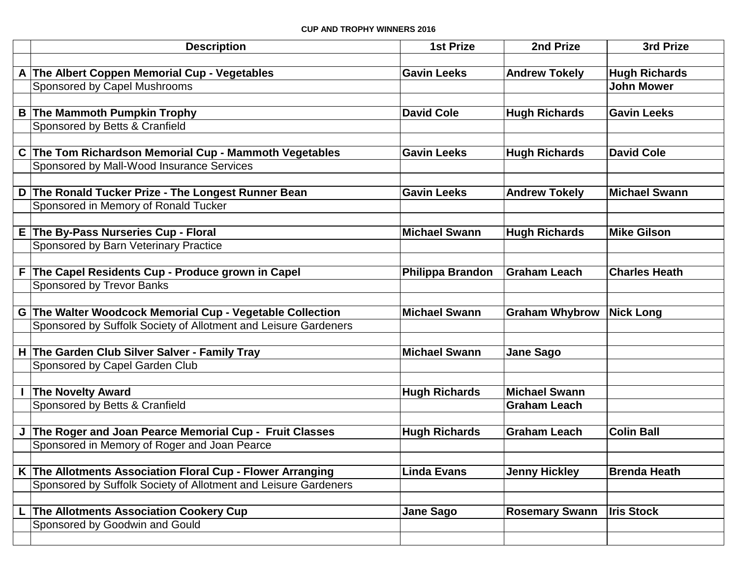## **CUP AND TROPHY WINNERS 2016**

| <b>Description</b>                                              | <b>1st Prize</b>     | 2nd Prize             | 3rd Prize            |
|-----------------------------------------------------------------|----------------------|-----------------------|----------------------|
|                                                                 |                      |                       |                      |
| A The Albert Coppen Memorial Cup - Vegetables                   | <b>Gavin Leeks</b>   | <b>Andrew Tokely</b>  | <b>Hugh Richards</b> |
| Sponsored by Capel Mushrooms                                    |                      |                       | <b>John Mower</b>    |
|                                                                 |                      |                       |                      |
| <b>B The Mammoth Pumpkin Trophy</b>                             | <b>David Cole</b>    | <b>Hugh Richards</b>  | <b>Gavin Leeks</b>   |
| Sponsored by Betts & Cranfield                                  |                      |                       |                      |
|                                                                 |                      |                       |                      |
| C The Tom Richardson Memorial Cup - Mammoth Vegetables          | <b>Gavin Leeks</b>   | <b>Hugh Richards</b>  | <b>David Cole</b>    |
| Sponsored by Mall-Wood Insurance Services                       |                      |                       |                      |
|                                                                 |                      |                       |                      |
| D The Ronald Tucker Prize - The Longest Runner Bean             | <b>Gavin Leeks</b>   | <b>Andrew Tokely</b>  | <b>Michael Swann</b> |
| Sponsored in Memory of Ronald Tucker                            |                      |                       |                      |
|                                                                 |                      |                       |                      |
| E The By-Pass Nurseries Cup - Floral                            | <b>Michael Swann</b> | <b>Hugh Richards</b>  | <b>Mike Gilson</b>   |
| Sponsored by Barn Veterinary Practice                           |                      |                       |                      |
| F The Capel Residents Cup - Produce grown in Capel              |                      | <b>Graham Leach</b>   | <b>Charles Heath</b> |
| Sponsored by Trevor Banks                                       | Philippa Brandon     |                       |                      |
|                                                                 |                      |                       |                      |
| G The Walter Woodcock Memorial Cup - Vegetable Collection       | <b>Michael Swann</b> | <b>Graham Whybrow</b> | <b>Nick Long</b>     |
| Sponsored by Suffolk Society of Allotment and Leisure Gardeners |                      |                       |                      |
|                                                                 |                      |                       |                      |
| H The Garden Club Silver Salver - Family Tray                   | <b>Michael Swann</b> | <b>Jane Sago</b>      |                      |
| Sponsored by Capel Garden Club                                  |                      |                       |                      |
|                                                                 |                      |                       |                      |
| <b>The Novelty Award</b>                                        | <b>Hugh Richards</b> | <b>Michael Swann</b>  |                      |
| Sponsored by Betts & Cranfield                                  |                      | <b>Graham Leach</b>   |                      |
|                                                                 |                      |                       |                      |
| J The Roger and Joan Pearce Memorial Cup - Fruit Classes        | <b>Hugh Richards</b> | <b>Graham Leach</b>   | <b>Colin Ball</b>    |
| Sponsored in Memory of Roger and Joan Pearce                    |                      |                       |                      |
|                                                                 |                      |                       |                      |
| K The Allotments Association Floral Cup - Flower Arranging      | <b>Linda Evans</b>   | <b>Jenny Hickley</b>  | <b>Brenda Heath</b>  |
| Sponsored by Suffolk Society of Allotment and Leisure Gardeners |                      |                       |                      |
|                                                                 |                      |                       |                      |
| <b>The Allotments Association Cookery Cup</b>                   | <b>Jane Sago</b>     | <b>Rosemary Swann</b> | <b>Iris Stock</b>    |
| Sponsored by Goodwin and Gould                                  |                      |                       |                      |
|                                                                 |                      |                       |                      |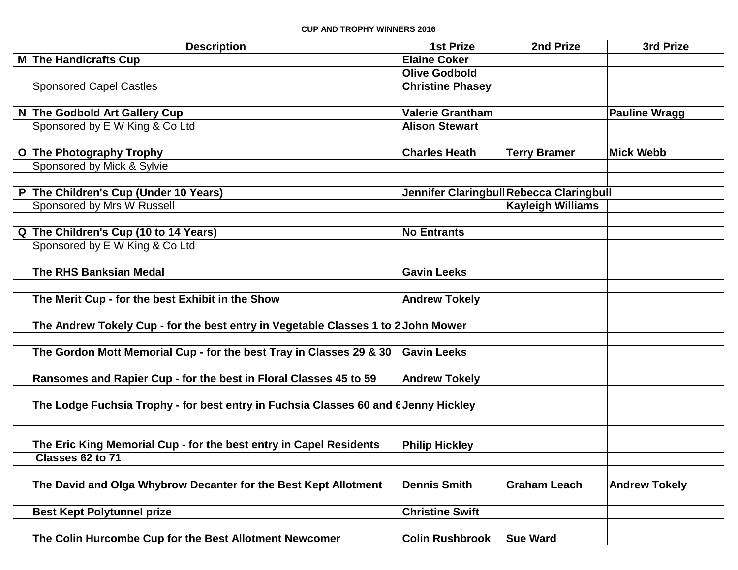|              | <b>Description</b>                                                                  | <b>1st Prize</b>        | 2nd Prize                               | 3rd Prize            |
|--------------|-------------------------------------------------------------------------------------|-------------------------|-----------------------------------------|----------------------|
|              | M The Handicrafts Cup                                                               | <b>Elaine Coker</b>     |                                         |                      |
|              |                                                                                     | <b>Olive Godbold</b>    |                                         |                      |
|              | <b>Sponsored Capel Castles</b>                                                      | <b>Christine Phasey</b> |                                         |                      |
|              |                                                                                     |                         |                                         |                      |
|              | N The Godbold Art Gallery Cup                                                       | <b>Valerie Grantham</b> |                                         | <b>Pauline Wragg</b> |
|              | Sponsored by E W King & Co Ltd                                                      | <b>Alison Stewart</b>   |                                         |                      |
|              |                                                                                     |                         |                                         |                      |
| $\mathbf{o}$ | <b>The Photography Trophy</b>                                                       | <b>Charles Heath</b>    | <b>Terry Bramer</b>                     | <b>Mick Webb</b>     |
|              | Sponsored by Mick & Sylvie                                                          |                         |                                         |                      |
|              |                                                                                     |                         |                                         |                      |
|              | The Children's Cup (Under 10 Years)                                                 |                         | Jennifer Claringbul Rebecca Claringbull |                      |
|              | Sponsored by Mrs W Russell                                                          |                         | <b>Kayleigh Williams</b>                |                      |
|              |                                                                                     |                         |                                         |                      |
|              | Q The Children's Cup (10 to 14 Years)                                               | <b>No Entrants</b>      |                                         |                      |
|              | Sponsored by E W King & Co Ltd                                                      |                         |                                         |                      |
|              |                                                                                     |                         |                                         |                      |
|              | <b>The RHS Banksian Medal</b>                                                       | <b>Gavin Leeks</b>      |                                         |                      |
|              |                                                                                     |                         |                                         |                      |
|              | The Merit Cup - for the best Exhibit in the Show                                    | <b>Andrew Tokely</b>    |                                         |                      |
|              |                                                                                     |                         |                                         |                      |
|              | The Andrew Tokely Cup - for the best entry in Vegetable Classes 1 to 2 John Mower   |                         |                                         |                      |
|              |                                                                                     |                         |                                         |                      |
|              | The Gordon Mott Memorial Cup - for the best Tray in Classes 29 & 30                 | <b>Gavin Leeks</b>      |                                         |                      |
|              |                                                                                     |                         |                                         |                      |
|              | Ransomes and Rapier Cup - for the best in Floral Classes 45 to 59                   | <b>Andrew Tokely</b>    |                                         |                      |
|              |                                                                                     |                         |                                         |                      |
|              | The Lodge Fuchsia Trophy - for best entry in Fuchsia Classes 60 and 6 Jenny Hickley |                         |                                         |                      |
|              |                                                                                     |                         |                                         |                      |
|              | The Eric King Memorial Cup - for the best entry in Capel Residents                  | <b>Philip Hickley</b>   |                                         |                      |
|              | Classes 62 to 71                                                                    |                         |                                         |                      |
|              |                                                                                     |                         |                                         |                      |
|              | The David and Olga Whybrow Decanter for the Best Kept Allotment                     | <b>Dennis Smith</b>     | <b>Graham Leach</b>                     | <b>Andrew Tokely</b> |
|              |                                                                                     |                         |                                         |                      |
|              | <b>Best Kept Polytunnel prize</b>                                                   | <b>Christine Swift</b>  |                                         |                      |
|              |                                                                                     |                         |                                         |                      |
|              | The Colin Hurcombe Cup for the Best Allotment Newcomer                              | <b>Colin Rushbrook</b>  | <b>Sue Ward</b>                         |                      |